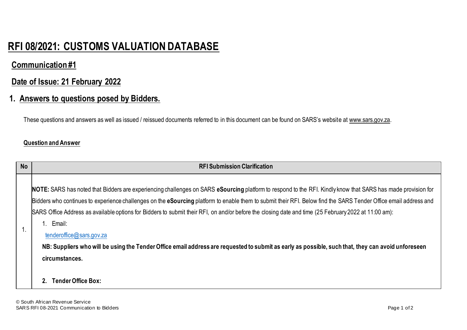# **RFI 08/2021: CUSTOMS VALUATION DATABASE**

## **Communication #1**

## **Date of Issue: 21 February 2022**

## **1. Answers to questions posed by Bidders.**

These questions and answers as well as issued / reissued documents referred to in this document can be found on SARS's website at www.sars.gov.za.

#### **Question and Answer**

| <b>No</b> | <b>RFI Submission Clarification</b>                                                                                                                                                                                                                                                                                                                                                                                                                                                                                                                                                                                                                                                                                             |
|-----------|---------------------------------------------------------------------------------------------------------------------------------------------------------------------------------------------------------------------------------------------------------------------------------------------------------------------------------------------------------------------------------------------------------------------------------------------------------------------------------------------------------------------------------------------------------------------------------------------------------------------------------------------------------------------------------------------------------------------------------|
|           | NOTE: SARS has noted that Bidders are experiencing challenges on SARS eSourcing platform to respond to the RFI. Kindly know that SARS has made provision for<br>Bidders who continues to experience challenges on the eSourcing platform to enable them to submit their RFI. Below find the SARS Tender Office email address and<br>SARS Office Address as available options for Bidders to submit their RFI, on and/or before the closing date and time (25 February 2022 at 11:00 am):<br>1. Email:<br>tenderoffice@sars.gov.za<br>NB: Suppliers who will be using the Tender Office email address are requested to submit as early as possible, such that, they can avoid unforeseen<br>circumstances.<br>Tender Office Box: |